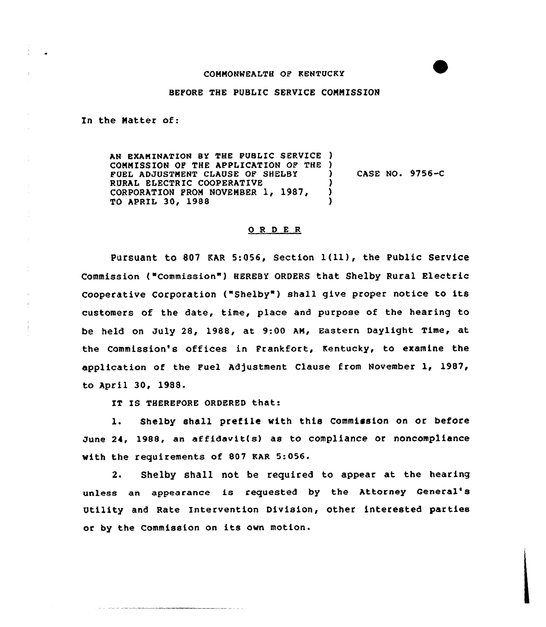## COMMONWEALTH OF KENTUCKY

## BEPORE THE PUBLIC SERVICE COMMISSION

In the Matter of:

AN EXAMINATION BY THE PUBLIC SERVICE ) COMMISSION OP THE APPLICATION OF THE ) FUEL ADJUSTMENT CLAUSE OP SHELBY RURAL ELECTRIC COOPERATIVE CORPORATION FROM NOVEMBER 1, 1987, TO APRIL 30~ 1988 ) CASE NO. 9756-C ) ) )

## 0 <sup>R</sup> <sup>D</sup> <sup>E</sup> <sup>R</sup>

Pursuant to 807 EAR 5:056, Section 1(11), the Public Service Commission ("Commission") HEREBY ORDERS that Shelby Rural Electric Cooperative Corporation ("Shelby" ) shall give proper notice to its customers of the date, time, place and purpose of the hearing to be held on July 28, 1988, at 9:00 AM, Eastern Daylight Time, at the Commission's offices in Frankfort, Kentucky, to examine the application of the Fuel Adjustment Clause from November 1, 1987, to April 30, 1988.

IT IS THEREFORE ORDERED that:

1. Shelby shall prefile with this Commission on or before June 24, 1988, an af fidavit(s) as to compliance or noncompliance with the requirements of 807 KAR 5:056.

2. Shelby shall not be required to appear at the hearing unless an appearance is requested by the Attorney General' Utility and Rate Intervention Division, other interested parties or by the Commission on its own motion.